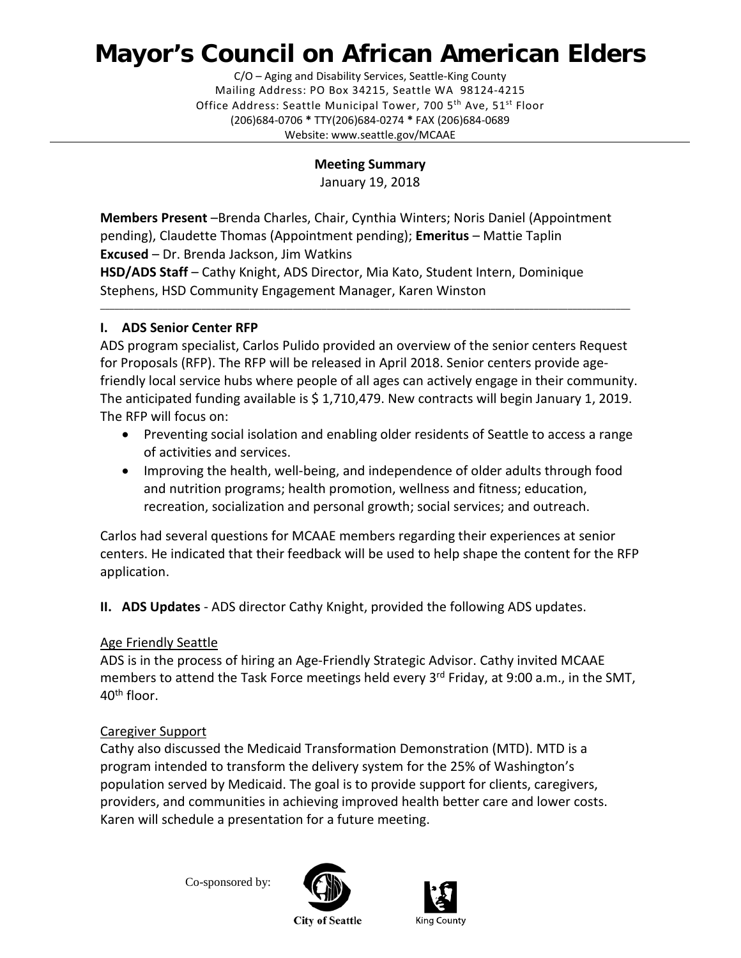# **Mayor's Council on African American Elders**

C/O – Aging and Disability Services, Seattle-King County Mailing Address: PO Box 34215, Seattle WA 98124-4215 Office Address: Seattle Municipal Tower, 700 5<sup>th</sup> Ave, 51<sup>st</sup> Floor (206)684-0706 **\*** TTY(206)684-0274 **\*** FAX (206)684-0689 Website: www.seattle.gov/MCAAE

**Meeting Summary**

January 19, 2018

**Members Present** –Brenda Charles, Chair, Cynthia Winters; Noris Daniel (Appointment pending), Claudette Thomas (Appointment pending); **Emeritus** – Mattie Taplin **Excused** – Dr. Brenda Jackson, Jim Watkins

**HSD/ADS Staff** – Cathy Knight, ADS Director, Mia Kato, Student Intern, Dominique Stephens, HSD Community Engagement Manager, Karen Winston

# **I. ADS Senior Center RFP**

ADS program specialist, Carlos Pulido provided an overview of the senior centers Request for Proposals (RFP). The RFP will be released in April 2018. Senior centers provide agefriendly local service hubs where people of all ages can actively engage in their community. The anticipated funding available is \$ 1,710,479. New contracts will begin January 1, 2019. The RFP will focus on:

\_\_\_\_\_\_\_\_\_\_\_\_\_\_\_\_\_\_\_\_\_\_\_\_\_\_\_\_\_\_\_\_\_\_\_\_\_\_\_\_\_\_\_\_\_\_\_\_\_\_\_\_\_\_\_\_\_\_\_\_\_\_\_\_\_\_\_\_\_\_\_\_\_\_\_\_\_\_\_\_\_\_\_\_\_\_\_\_\_\_\_\_\_\_\_\_\_\_\_\_\_\_\_\_\_\_\_\_\_\_

- Preventing social isolation and enabling older residents of Seattle to access a range of activities and services.
- Improving the health, well-being, and independence of older adults through food and nutrition programs; health promotion, wellness and fitness; education, recreation, socialization and personal growth; social services; and outreach.

Carlos had several questions for MCAAE members regarding their experiences at senior centers. He indicated that their feedback will be used to help shape the content for the RFP application.

**II. ADS Updates** - ADS director Cathy Knight, provided the following ADS updates.

## Age Friendly Seattle

ADS is in the process of hiring an Age-Friendly Strategic Advisor. Cathy invited MCAAE members to attend the Task Force meetings held every 3<sup>rd</sup> Friday, at 9:00 a.m., in the SMT, 40th floor.

## Caregiver Support

Cathy also discussed the Medicaid Transformation Demonstration (MTD). MTD is a program intended to transform the delivery system for the 25% of Washington's population served by Medicaid. The goal is to provide support for clients, caregivers, providers, and communities in achieving improved health better care and lower costs. Karen will schedule a presentation for a future meeting.

Co-sponsored by:





**City of Seattle**